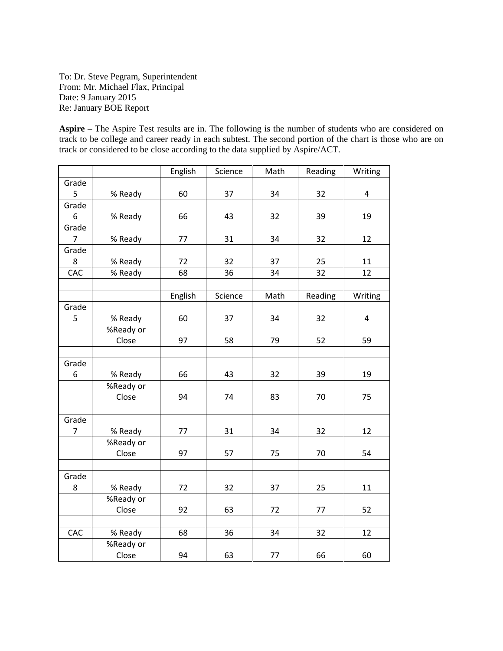To: Dr. Steve Pegram, Superintendent From: Mr. Michael Flax, Principal Date: 9 January 2015 Re: January BOE Report

**Aspire** – The Aspire Test results are in. The following is the number of students who are considered on track to be college and career ready in each subtest. The second portion of the chart is those who are on track or considered to be close according to the data supplied by Aspire/ACT.

|                |           | English | Science | Math | Reading | Writing |
|----------------|-----------|---------|---------|------|---------|---------|
| Grade          |           |         |         |      |         |         |
| 5              | % Ready   | 60      | 37      | 34   | 32      | 4       |
| Grade          |           |         |         |      |         |         |
| 6              | % Ready   | 66      | 43      | 32   | 39      | 19      |
| Grade          |           |         |         |      |         |         |
| $\overline{7}$ | % Ready   | 77      | 31      | 34   | 32      | 12      |
| Grade          |           |         |         |      |         |         |
| 8              | % Ready   | 72      | 32      | 37   | 25      | 11      |
| CAC            | % Ready   | 68      | 36      | 34   | 32      | 12      |
|                |           |         |         |      |         |         |
|                |           | English | Science | Math | Reading | Writing |
| Grade          |           |         |         |      |         |         |
| 5              | % Ready   | 60      | 37      | 34   | 32      | 4       |
|                | %Ready or |         |         |      |         |         |
|                | Close     | 97      | 58      | 79   | 52      | 59      |
|                |           |         |         |      |         |         |
| Grade          |           |         |         |      |         |         |
| 6              | % Ready   | 66      | 43      | 32   | 39      | 19      |
|                | %Ready or |         |         |      |         |         |
|                | Close     | 94      | 74      | 83   | 70      | 75      |
|                |           |         |         |      |         |         |
| Grade          |           |         |         |      |         |         |
| 7              | % Ready   | 77      | 31      | 34   | 32      | 12      |
|                | %Ready or |         |         |      |         |         |
|                | Close     | 97      | 57      | 75   | $70\,$  | 54      |
|                |           |         |         |      |         |         |
| Grade          |           |         |         |      |         |         |
| 8              | % Ready   | 72      | 32      | 37   | 25      | 11      |
|                | %Ready or |         |         |      |         |         |
|                | Close     | 92      | 63      | 72   | 77      | 52      |
|                |           |         |         |      |         |         |
| CAC            | % Ready   | 68      | 36      | 34   | 32      | 12      |
|                | %Ready or |         |         |      |         |         |
|                | Close     | 94      | 63      | 77   | 66      | 60      |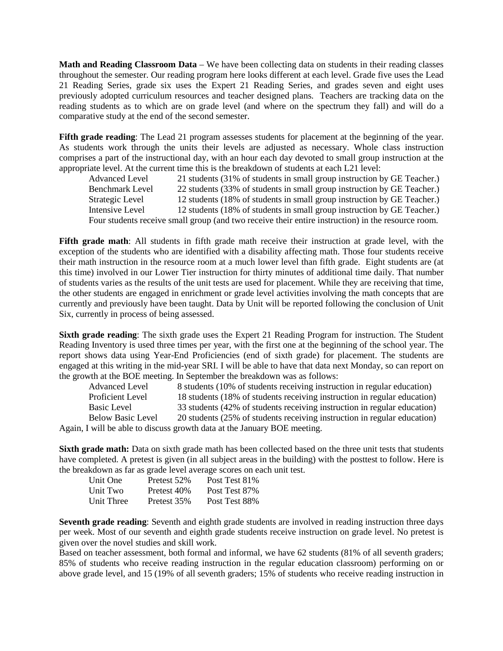**Math and Reading Classroom Data** – We have been collecting data on students in their reading classes throughout the semester. Our reading program here looks different at each level. Grade five uses the Lead 21 Reading Series, grade six uses the Expert 21 Reading Series, and grades seven and eight uses previously adopted curriculum resources and teacher designed plans. Teachers are tracking data on the reading students as to which are on grade level (and where on the spectrum they fall) and will do a comparative study at the end of the second semester.

**Fifth grade reading**: The Lead 21 program assesses students for placement at the beginning of the year. As students work through the units their levels are adjusted as necessary. Whole class instruction comprises a part of the instructional day, with an hour each day devoted to small group instruction at the appropriate level. At the current time this is the breakdown of students at each L21 level:

Advanced Level 21 students (31% of students in small group instruction by GE Teacher.) Benchmark Level 22 students (33% of students in small group instruction by GE Teacher.) Strategic Level 12 students (18% of students in small group instruction by GE Teacher.) Intensive Level 12 students (18% of students in small group instruction by GE Teacher.) Four students receive small group (and two receive their entire instruction) in the resource room.

**Fifth grade math**: All students in fifth grade math receive their instruction at grade level, with the exception of the students who are identified with a disability affecting math. Those four students receive their math instruction in the resource room at a much lower level than fifth grade. Eight students are (at this time) involved in our Lower Tier instruction for thirty minutes of additional time daily. That number of students varies as the results of the unit tests are used for placement. While they are receiving that time, the other students are engaged in enrichment or grade level activities involving the math concepts that are currently and previously have been taught. Data by Unit will be reported following the conclusion of Unit Six, currently in process of being assessed.

**Sixth grade reading**: The sixth grade uses the Expert 21 Reading Program for instruction. The Student Reading Inventory is used three times per year, with the first one at the beginning of the school year. The report shows data using Year-End Proficiencies (end of sixth grade) for placement. The students are engaged at this writing in the mid-year SRI. I will be able to have that data next Monday, so can report on the growth at the BOE meeting. In September the breakdown was as follows:

| <b>Advanced Level</b>    | 8 students (10% of students receiving instruction in regular education)  |
|--------------------------|--------------------------------------------------------------------------|
| Proficient Level         | 18 students (18% of students receiving instruction in regular education) |
| Basic Level              | 33 students (42% of students receiving instruction in regular education) |
| <b>Below Basic Level</b> | 20 students (25% of students receiving instruction in regular education) |
|                          | Again, I will be able to discuss growth data at the January BOE meeting. |

**Sixth grade math:** Data on sixth grade math has been collected based on the three unit tests that students have completed. A pretest is given (in all subject areas in the building) with the posttest to follow. Here is the breakdown as far as grade level average scores on each unit test.

| Unit One   | Pretest 52% | Post Test 81\% |
|------------|-------------|----------------|
| Unit Two   | Pretest 40% | Post Test 87%  |
| Unit Three | Pretest 35% | Post Test 88%  |

**Seventh grade reading**: Seventh and eighth grade students are involved in reading instruction three days per week. Most of our seventh and eighth grade students receive instruction on grade level. No pretest is given over the novel studies and skill work.

Based on teacher assessment, both formal and informal, we have 62 students (81% of all seventh graders; 85% of students who receive reading instruction in the regular education classroom) performing on or above grade level, and 15 (19% of all seventh graders; 15% of students who receive reading instruction in